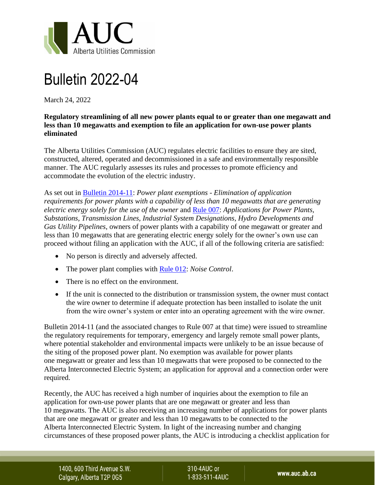

## Bulletin 2022-04

March 24, 2022

## **Regulatory streamlining of all new power plants equal to or greater than one megawatt and less than 10 megawatts and exemption to file an application for own-use power plants eliminated**

The Alberta Utilities Commission (AUC) regulates electric facilities to ensure they are sited, constructed, altered, operated and decommissioned in a safe and environmentally responsible manner. The AUC regularly assesses its rules and processes to promote efficiency and accommodate the evolution of the electric industry.

As set out in [Bulletin 2014-11:](https://media.www.auc.ab.ca/prd-wp-uploads/News/2014/Bulletin%202014-11.pdf) *Power plant exemptions - Elimination of application requirements for power plants with a capability of less than 10 megawatts that are generating electric energy solely for the use of the owner* and [Rule 007:](https://www.auc.ab.ca/Rule-007) *Applications for Power Plants, Substations, Transmission Lines, Industrial System Designations, Hydro Developments and Gas Utility Pipelines*, owners of power plants with a capability of one megawatt or greater and less than 10 megawatts that are generating electric energy solely for the owner's own use can proceed without filing an application with the AUC, if all of the following criteria are satisfied:

- No person is directly and adversely affected.
- The power plant complies with [Rule 012:](https://media.www.auc.ab.ca/prd-wp-uploads/2022/01/Rule012.pdf) *Noise Control*.
- There is no effect on the environment.
- If the unit is connected to the distribution or transmission system, the owner must contact the wire owner to determine if adequate protection has been installed to isolate the unit from the wire owner's system or enter into an operating agreement with the wire owner.

Bulletin 2014-11 (and the associated changes to Rule 007 at that time) were issued to streamline the regulatory requirements for temporary, emergency and largely remote small power plants, where potential stakeholder and environmental impacts were unlikely to be an issue because of the siting of the proposed power plant. No exemption was available for power plants one megawatt or greater and less than 10 megawatts that were proposed to be connected to the Alberta Interconnected Electric System; an application for approval and a connection order were required.

Recently, the AUC has received a high number of inquiries about the exemption to file an application for own-use power plants that are one megawatt or greater and less than 10 megawatts. The AUC is also receiving an increasing number of applications for power plants that are one megawatt or greater and less than 10 megawatts to be connected to the Alberta Interconnected Electric System. In light of the increasing number and changing circumstances of these proposed power plants, the AUC is introducing a checklist application for

1400, 600 Third Avenue S.W. Calgary, Alberta T2P 0G5

310-4AUC or 1-833-511-4AUC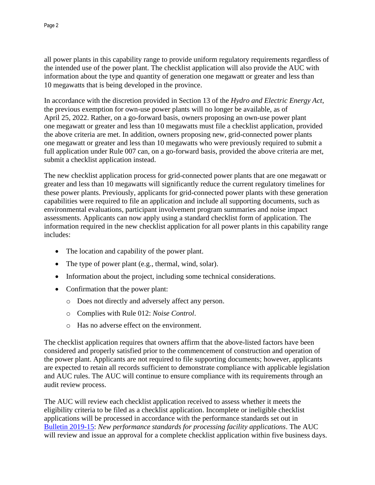all power plants in this capability range to provide uniform regulatory requirements regardless of the intended use of the power plant. The checklist application will also provide the AUC with information about the type and quantity of generation one megawatt or greater and less than 10 megawatts that is being developed in the province.

In accordance with the discretion provided in Section 13 of the *Hydro and Electric Energy Act*, the previous exemption for own-use power plants will no longer be available, as of April 25, 2022. Rather, on a go-forward basis, owners proposing an own-use power plant one megawatt or greater and less than 10 megawatts must file a checklist application, provided the above criteria are met. In addition, owners proposing new, grid-connected power plants one megawatt or greater and less than 10 megawatts who were previously required to submit a full application under Rule 007 can, on a go-forward basis, provided the above criteria are met, submit a checklist application instead.

The new checklist application process for grid-connected power plants that are one megawatt or greater and less than 10 megawatts will significantly reduce the current regulatory timelines for these power plants. Previously, applicants for grid-connected power plants with these generation capabilities were required to file an application and include all supporting documents, such as environmental evaluations, participant involvement program summaries and noise impact assessments. Applicants can now apply using a standard checklist form of application. The information required in the new checklist application for all power plants in this capability range includes:

- The location and capability of the power plant.
- The type of power plant (e.g., thermal, wind, solar).
- Information about the project, including some technical considerations.
- Confirmation that the power plant:
	- o Does not directly and adversely affect any person.
	- o Complies with Rule 012: *Noise Control*.
	- o Has no adverse effect on the environment.

The checklist application requires that owners affirm that the above-listed factors have been considered and properly satisfied prior to the commencement of construction and operation of the power plant. Applicants are not required to file supporting documents; however, applicants are expected to retain all records sufficient to demonstrate compliance with applicable legislation and AUC rules. The AUC will continue to ensure compliance with its requirements through an audit review process.

The AUC will review each checklist application received to assess whether it meets the eligibility criteria to be filed as a checklist application. Incomplete or ineligible checklist applications will be processed in accordance with the performance standards set out in Bulletin [2019-15:](https://media.www.auc.ab.ca/prd-wp-uploads/News/2019/Bulletin%202019-05.pdf) *New performance standards for processing facility applications*. The AUC will review and issue an approval for a complete checklist application within five business days.